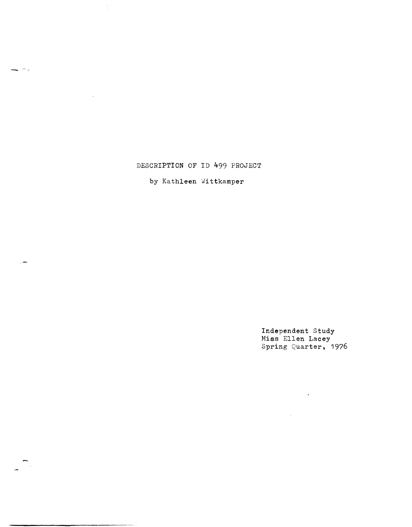## DESCRIPTION OF ID 499 PROJECT

÷.

÷.

## by Kathleen Wittkamper

Independent Study Miss Ellen Lacey Spring Quarter, 1976

 $\mathbf{r}$ 

 $\sim 10^{-11}$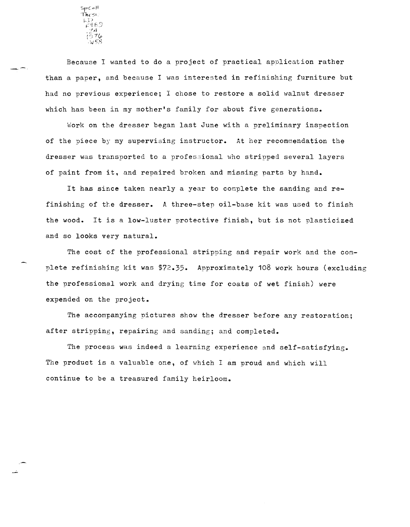SpColl Thesi,  $\overline{\mathcal{L}_4^2\varepsilon}$ 'f J~  $;576$ ':,y *1),,",* 

Because I wanted to do a project of practical apnlication rather than a paper, and because I was interested in refinishing furniture but had no previous experience; I chose to restore a solid walnut dresser which has been in my mother's family for about five generations.

Work on the dresser began last June with a preliminary inspection of the piece by my supervising instructor. At her recommendation the dresser was transported to a profes~ional who stripped several layers of paint from it. and repaired broken and missing parts by hand.

It has since taken nearly a year to complete the sanding and refinishing of the dresser. A three-step oil-base kit was used to finish the wood. It is a low-luster protective finish, but is not plasticized and so looks very natural.

The cost of the professional stripping and repair work and the complete refinishing kit was \$72.35. Approximately 108 work hours (excluding the professional work and drying time for coats of wet finish) were expended on the project.

The accompanying pictures show the dresser before any restoration; after stripping, repairing and sanding; and completed.

The process was indeed a learning experience and self-satisfying. The product is a valuable one, of which I am proud and which will continue to be a treasured family heirloom.